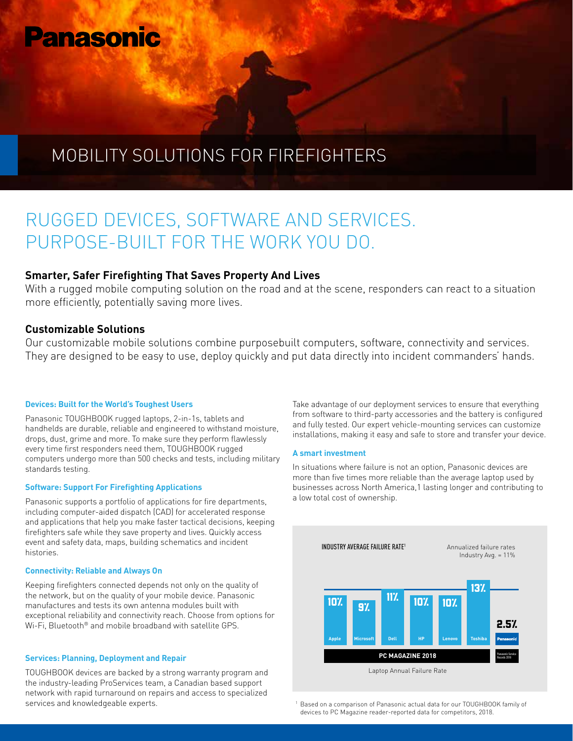# **Panasonic**

# MOBILITY SOLUTIONS FOR FIREFIGHTERS

# RUGGED DEVICES, SOFTWARE AND SERVICES. PURPOSE-BUILT FOR THE WORK YOU DO.

## **Smarter, Safer Firefighting That Saves Property And Lives**

With a rugged mobile computing solution on the road and at the scene, responders can react to a situation more efficiently, potentially saving more lives.

### **Customizable Solutions**

Our customizable mobile solutions combine purposebuilt computers, software, connectivity and services. They are designed to be easy to use, deploy quickly and put data directly into incident commanders' hands.

#### **Devices: Built for the World's Toughest Users**

Panasonic TOUGHBOOK rugged laptops, 2-in-1s, tablets and handhelds are durable, reliable and engineered to withstand moisture, drops, dust, grime and more. To make sure they perform flawlessly every time first responders need them, TOUGHBOOK rugged computers undergo more than 500 checks and tests, including military standards testing.

#### **Software: Support For Firefighting Applications**

Panasonic supports a portfolio of applications for fire departments, including computer-aided dispatch (CAD) for accelerated response and applications that help you make faster tactical decisions, keeping firefighters safe while they save property and lives. Quickly access event and safety data, maps, building schematics and incident histories.

#### **Connectivity: Reliable and Always On**

Keeping firefighters connected depends not only on the quality of the network, but on the quality of your mobile device. Panasonic manufactures and tests its own antenna modules built with exceptional reliability and connectivity reach. Choose from options for Wi-Fi, Bluetooth® and mobile broadband with satellite GPS.

#### **Services: Planning, Deployment and Repair**

TOUGHBOOK devices are backed by a strong warranty program and the industry-leading ProServices team, a Canadian based support network with rapid turnaround on repairs and access to specialized services and knowledgeable experts.

Take advantage of our deployment services to ensure that everything from software to third-party accessories and the battery is configured and fully tested. Our expert vehicle-mounting services can customize installations, making it easy and safe to store and transfer your device.

#### **A smart investment**

In situations where failure is not an option, Panasonic devices are more than five times more reliable than the average laptop used by businesses across North America,1 lasting longer and contributing to a low total cost of ownership.



Based on a comparison of Panasonic actual data for our TOUGHBOOK family of devices to PC Magazine reader-reported data for competitors, 2018.